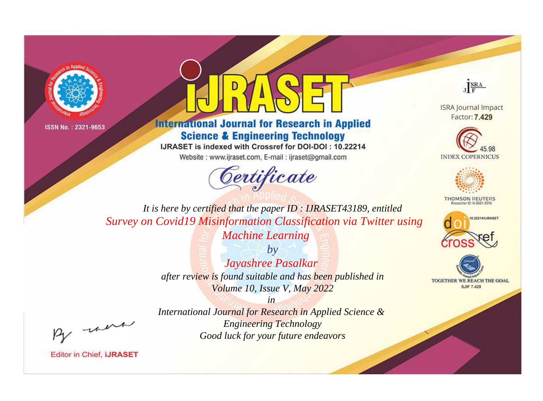



**International Journal for Research in Applied Science & Engineering Technology** 

IJRASET is indexed with Crossref for DOI-DOI: 10.22214

Website: www.ijraset.com, E-mail: ijraset@gmail.com





**ISRA Journal Impact** Factor: 7.429





**THOMSON REUTERS** 



TOGETHER WE REACH THE GOAL **SJIF 7.429** 

*It is here by certified that the paper ID : IJRASET43189, entitled Survey on Covid19 Misinformation Classification via Twitter using Machine Learning*

> *by Jayashree Pasalkar after review is found suitable and has been published in Volume 10, Issue V, May 2022*

, un

*International Journal for Research in Applied Science & Engineering Technology Good luck for your future endeavors*

*in*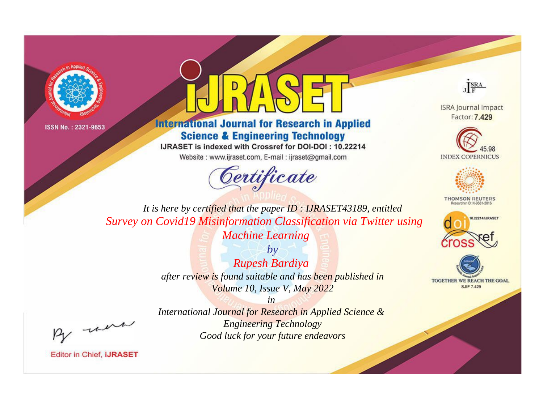



**International Journal for Research in Applied Science & Engineering Technology** 

IJRASET is indexed with Crossref for DOI-DOI : 10.22214

Website: www.ijraset.com, E-mail: ijraset@gmail.com



JERA

**ISRA Journal Impact** Factor: 7.429





**THOMSON REUTERS** 



TOGETHER WE REACH THE GOAL **SJIF 7.429** 

It is here by certified that the paper ID: IJRASET43189, entitled Survey on Covid19 Misinformation Classification via Twitter using **Machine Learning** 

> $b\nu$ **Rupesh Bardiya** after review is found suitable and has been published in Volume 10, Issue V, May 2022

were

International Journal for Research in Applied Science & **Engineering Technology** Good luck for your future endeavors

 $in$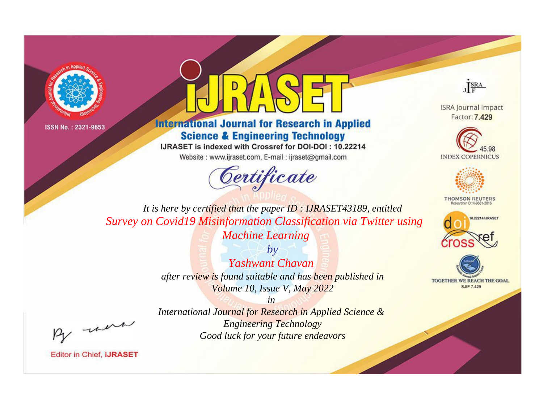



**International Journal for Research in Applied Science & Engineering Technology** 

IJRASET is indexed with Crossref for DOI-DOI: 10.22214

Website: www.ijraset.com, E-mail: ijraset@gmail.com





**ISRA Journal Impact** Factor: 7.429





**THOMSON REUTERS** 



TOGETHER WE REACH THE GOAL **SJIF 7.429** 

*It is here by certified that the paper ID : IJRASET43189, entitled Survey on Covid19 Misinformation Classification via Twitter using Machine Learning*

> *by Yashwant Chavan after review is found suitable and has been published in Volume 10, Issue V, May 2022*

, un

*International Journal for Research in Applied Science & Engineering Technology Good luck for your future endeavors*

*in*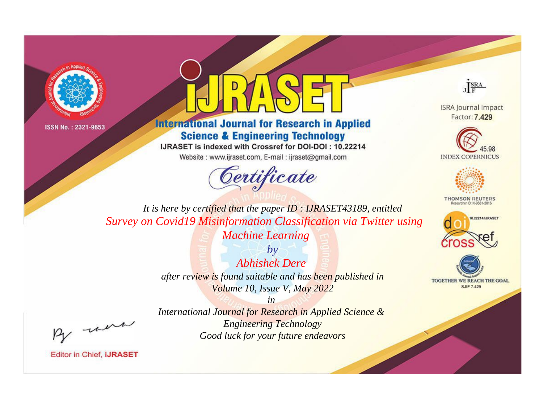



**International Journal for Research in Applied Science & Engineering Technology** 

IJRASET is indexed with Crossref for DOI-DOI: 10.22214

Website: www.ijraset.com, E-mail: ijraset@gmail.com



JERA

**ISRA Journal Impact** Factor: 7.429





**THOMSON REUTERS** 



TOGETHER WE REACH THE GOAL **SJIF 7.429** 

It is here by certified that the paper ID: IJRASET43189, entitled Survey on Covid19 Misinformation Classification via Twitter using **Machine Learning** 

> $b\nu$ **Abhishek Dere** after review is found suitable and has been published in Volume 10, Issue V, May 2022

> > $in$

were

International Journal for Research in Applied Science & **Engineering Technology** Good luck for your future endeavors